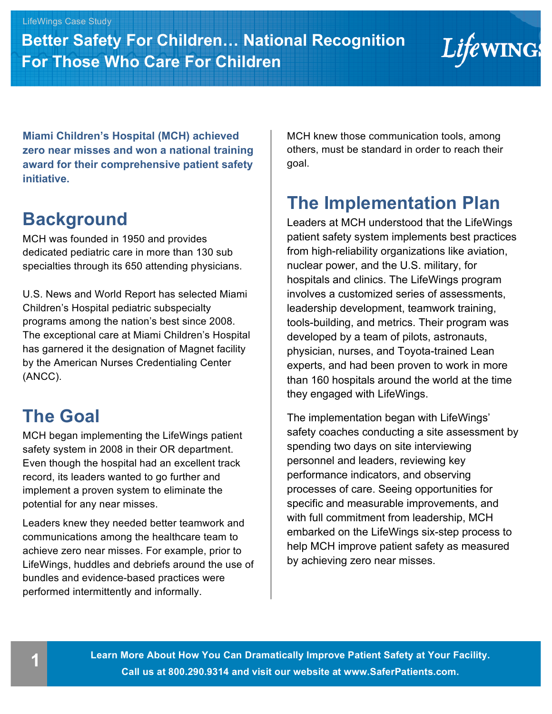**Miami Children's Hospital (MCH) achieved zero near misses and won a national training award for their comprehensive patient safety initiative.** 

## **Background**

MCH was founded in 1950 and provides dedicated pediatric care in more than 130 sub specialties through its 650 attending physicians.

U.S. News and World Report has selected Miami Children's Hospital pediatric subspecialty programs among the nation's best since 2008. The exceptional care at Miami Children's Hospital has garnered it the designation of Magnet facility by the American Nurses Credentialing Center (ANCC).

## **The Goal**

MCH began implementing the LifeWings patient safety system in 2008 in their OR department. Even though the hospital had an excellent track record, its leaders wanted to go further and implement a proven system to eliminate the potential for any near misses.

Leaders knew they needed better teamwork and communications among the healthcare team to achieve zero near misses. For example, prior to LifeWings, huddles and debriefs around the use of bundles and evidence-based practices were performed intermittently and informally.

MCH knew those communication tools, among others, must be standard in order to reach their goal.

**Lifewing** 

## **The Implementation Plan**

Leaders at MCH understood that the LifeWings patient safety system implements best practices from high-reliability organizations like aviation, nuclear power, and the U.S. military, for hospitals and clinics. The LifeWings program involves a customized series of assessments, leadership development, teamwork training, tools-building, and metrics. Their program was developed by a team of pilots, astronauts, physician, nurses, and Toyota-trained Lean experts, and had been proven to work in more than 160 hospitals around the world at the time they engaged with LifeWings.

The implementation began with LifeWings' safety coaches conducting a site assessment by spending two days on site interviewing personnel and leaders, reviewing key performance indicators, and observing processes of care. Seeing opportunities for specific and measurable improvements, and with full commitment from leadership, MCH embarked on the LifeWings six-step process to help MCH improve patient safety as measured by achieving zero near misses.

**1 Learn More About How You Can Dramatically Improve Patient Safety at Your Facility. Call us at 800.290.9314 and visit our website at www.SaferPatients.com.**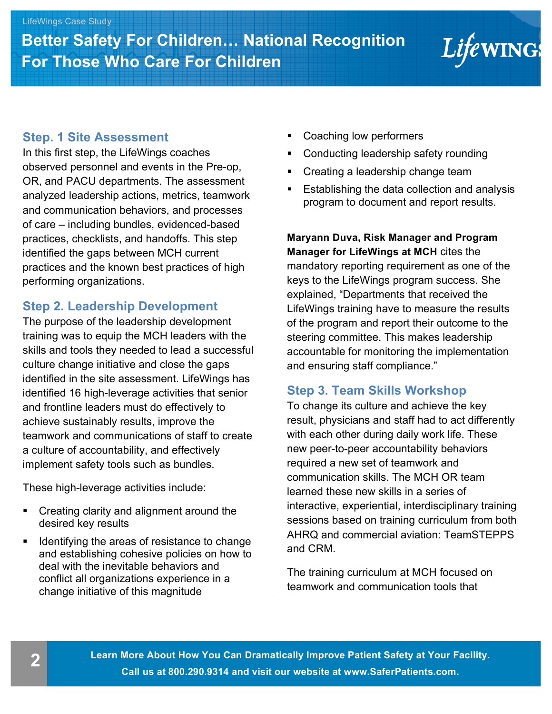### **Step. 1 Site Assessment**

In this first step, the LifeWings coaches observed personnel and events in the Pre-op, OR, and PACU departments. The assessment analyzed leadership actions, metrics, teamwork and communication behaviors, and processes of care – including bundles, evidenced-based practices, checklists, and handoffs. This step identified the gaps between MCH current practices and the known best practices of high performing organizations.

### **Step 2. Leadership Development**

The purpose of the leadership development training was to equip the MCH leaders with the skills and tools they needed to lead a successful culture change initiative and close the gaps identified in the site assessment. LifeWings has identified 16 high-leverage activities that senior and frontline leaders must do effectively to achieve sustainably results, improve the teamwork and communications of staff to create a culture of accountability, and effectively implement safety tools such as bundles.

These high-leverage activities include:

- § Creating clarity and alignment around the desired key results
- Identifying the areas of resistance to change and establishing cohesive policies on how to deal with the inevitable behaviors and conflict all organizations experience in a change initiative of this magnitude
- § Coaching low performers
- Conducting leadership safety rounding
- Creating a leadership change team
- Establishing the data collection and analysis program to document and report results.

**Lifewing** 

**Maryann Duva, Risk Manager and Program Manager for LifeWings at MCH** cites the mandatory reporting requirement as one of the keys to the LifeWings program success. She explained, "Departments that received the LifeWings training have to measure the results of the program and report their outcome to the steering committee. This makes leadership accountable for monitoring the implementation and ensuring staff compliance."

### **Step 3. Team Skills Workshop**

To change its culture and achieve the key result, physicians and staff had to act differently with each other during daily work life. These new peer-to-peer accountability behaviors required a new set of teamwork and communication skills. The MCH OR team learned these new skills in a series of interactive, experiential, interdisciplinary training sessions based on training curriculum from both AHRQ and commercial aviation: TeamSTEPPS and CRM.

The training curriculum at MCH focused on teamwork and communication tools that

**2 Learn More About How You Can Dramatically Improve Patient Safety at Your Facility. Call us at 800.290.9314 and visit our website at www.SaferPatients.com.**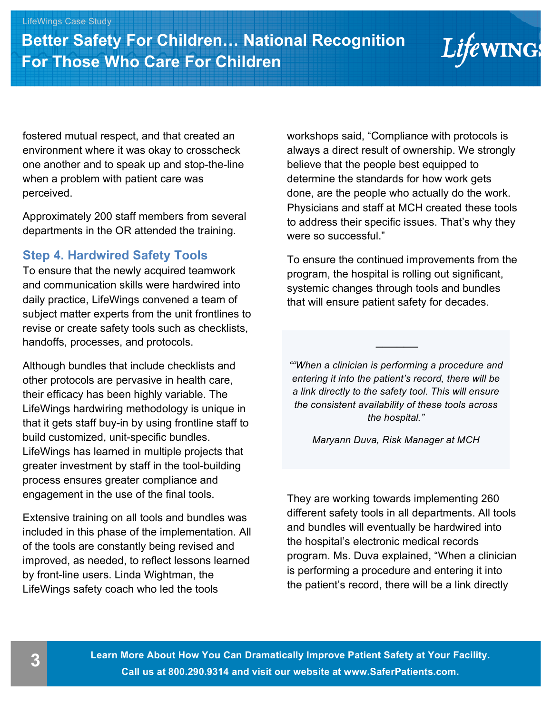fostered mutual respect, and that created an environment where it was okay to crosscheck one another and to speak up and stop-the-line when a problem with patient care was perceived.

Approximately 200 staff members from several departments in the OR attended the training.

## **Step 4. Hardwired Safety Tools**

To ensure that the newly acquired teamwork and communication skills were hardwired into daily practice, LifeWings convened a team of subject matter experts from the unit frontlines to revise or create safety tools such as checklists, handoffs, processes, and protocols.

Although bundles that include checklists and other protocols are pervasive in health care, their efficacy has been highly variable. The LifeWings hardwiring methodology is unique in that it gets staff buy-in by using frontline staff to build customized, unit-specific bundles. LifeWings has learned in multiple projects that greater investment by staff in the tool-building process ensures greater compliance and engagement in the use of the final tools.

Extensive training on all tools and bundles was included in this phase of the implementation. All of the tools are constantly being revised and improved, as needed, to reflect lessons learned by front-line users. Linda Wightman, the LifeWings safety coach who led the tools

workshops said, "Compliance with protocols is always a direct result of ownership. We strongly believe that the people best equipped to determine the standards for how work gets done, are the people who actually do the work. Physicians and staff at MCH created these tools to address their specific issues. That's why they were so successful."

**LifewING** 

To ensure the continued improvements from the program, the hospital is rolling out significant, systemic changes through tools and bundles that will ensure patient safety for decades.

*""When a clinician is performing a procedure and entering it into the patient's record, there will be a link directly to the safety tool. This will ensure the consistent availability of these tools across the hospital."*

*\_\_\_\_\_\_*

*Maryann Duva, Risk Manager at MCH*

They are working towards implementing 260 different safety tools in all departments. All tools and bundles will eventually be hardwired into the hospital's electronic medical records program. Ms. Duva explained, "When a clinician is performing a procedure and entering it into the patient's record, there will be a link directly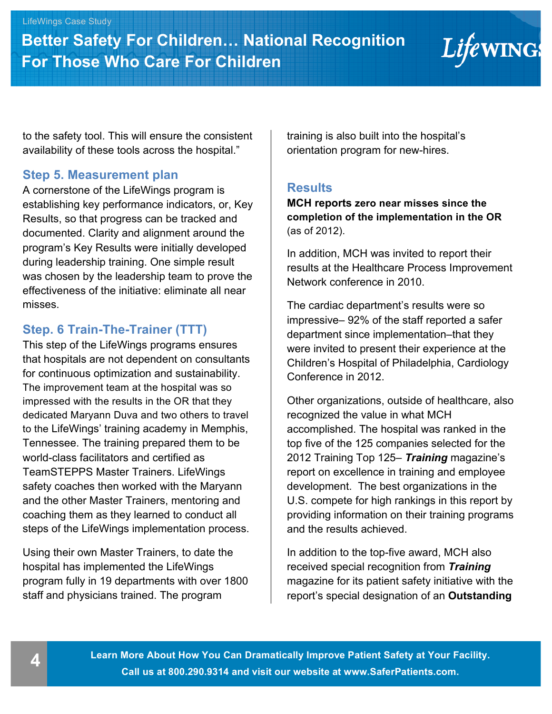to the safety tool. This will ensure the consistent availability of these tools across the hospital."

### **Step 5. Measurement plan**

A cornerstone of the LifeWings program is establishing key performance indicators, or, Key Results, so that progress can be tracked and documented. Clarity and alignment around the program's Key Results were initially developed during leadership training. One simple result was chosen by the leadership team to prove the effectiveness of the initiative: eliminate all near misses.

## **Step. 6 Train-The-Trainer (TTT)**

This step of the LifeWings programs ensures that hospitals are not dependent on consultants for continuous optimization and sustainability. The improvement team at the hospital was so impressed with the results in the OR that they dedicated Maryann Duva and two others to travel to the LifeWings' training academy in Memphis, Tennessee. The training prepared them to be world-class facilitators and certified as TeamSTEPPS Master Trainers. LifeWings safety coaches then worked with the Maryann and the other Master Trainers, mentoring and coaching them as they learned to conduct all steps of the LifeWings implementation process.

Using their own Master Trainers, to date the hospital has implemented the LifeWings program fully in 19 departments with over 1800 staff and physicians trained. The program

training is also built into the hospital's orientation program for new-hires.

### **Results**

**MCH reports zero near misses since the completion of the implementation in the OR** (as of 2012).

**Lifewing** 

In addition, MCH was invited to report their results at the Healthcare Process Improvement Network conference in 2010.

The cardiac department's results were so impressive– 92% of the staff reported a safer department since implementation–that they were invited to present their experience at the Children's Hospital of Philadelphia, Cardiology Conference in 2012.

Other organizations, outside of healthcare, also recognized the value in what MCH accomplished. The hospital was ranked in the top five of the 125 companies selected for the 2012 Training Top 125– *Training* magazine's report on excellence in training and employee development. The best organizations in the U.S. compete for high rankings in this report by providing information on their training programs and the results achieved.

In addition to the top-five award, MCH also received special recognition from *Training* magazine for its patient safety initiative with the report's special designation of an **Outstanding**